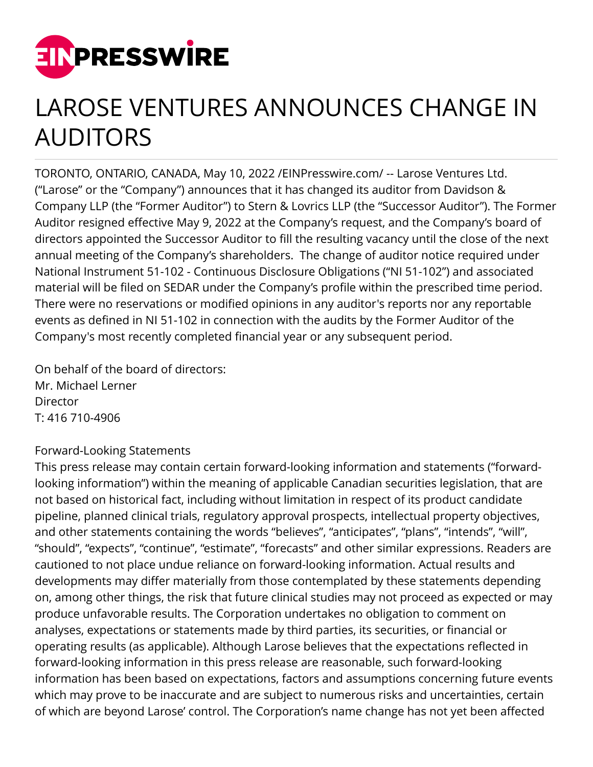

## LAROSE VENTURES ANNOUNCES CHANGE IN AUDITORS

TORONTO, ONTARIO, CANADA, May 10, 2022 [/EINPresswire.com/](http://www.einpresswire.com) -- Larose Ventures Ltd. ("Larose" or the "Company") announces that it has changed its auditor from Davidson & Company LLP (the "Former Auditor") to Stern & Lovrics LLP (the "Successor Auditor"). The Former Auditor resigned effective May 9, 2022 at the Company's request, and the Company's board of directors appointed the Successor Auditor to fill the resulting vacancy until the close of the next annual meeting of the Company's shareholders. The change of auditor notice required under National Instrument 51-102 - Continuous Disclosure Obligations ("NI 51-102") and associated material will be filed on SEDAR under the Company's profile within the prescribed time period. There were no reservations or modified opinions in any auditor's reports nor any reportable events as defined in NI 51-102 in connection with the audits by the Former Auditor of the Company's most recently completed financial year or any subsequent period.

On behalf of the board of directors: Mr. Michael Lerner **Director** T: 416 710-4906

## Forward-Looking Statements

This press release may contain certain forward-looking information and statements ("forwardlooking information") within the meaning of applicable Canadian securities legislation, that are not based on historical fact, including without limitation in respect of its product candidate pipeline, planned clinical trials, regulatory approval prospects, intellectual property objectives, and other statements containing the words "believes", "anticipates", "plans", "intends", "will", "should", "expects", "continue", "estimate", "forecasts" and other similar expressions. Readers are cautioned to not place undue reliance on forward-looking information. Actual results and developments may differ materially from those contemplated by these statements depending on, among other things, the risk that future clinical studies may not proceed as expected or may produce unfavorable results. The Corporation undertakes no obligation to comment on analyses, expectations or statements made by third parties, its securities, or financial or operating results (as applicable). Although Larose believes that the expectations reflected in forward-looking information in this press release are reasonable, such forward-looking information has been based on expectations, factors and assumptions concerning future events which may prove to be inaccurate and are subject to numerous risks and uncertainties, certain of which are beyond Larose' control. The Corporation's name change has not yet been affected